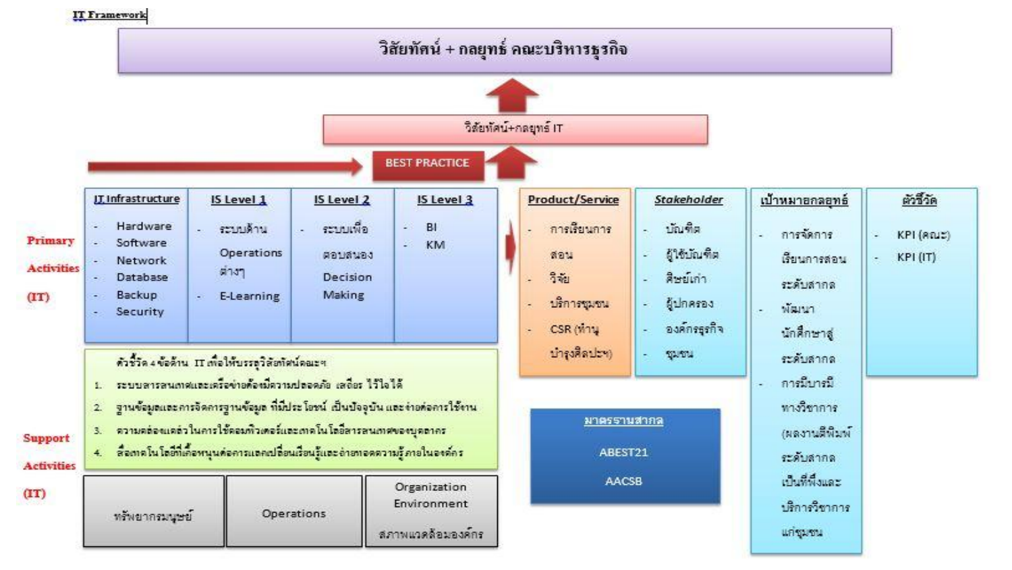## **IT Framework**

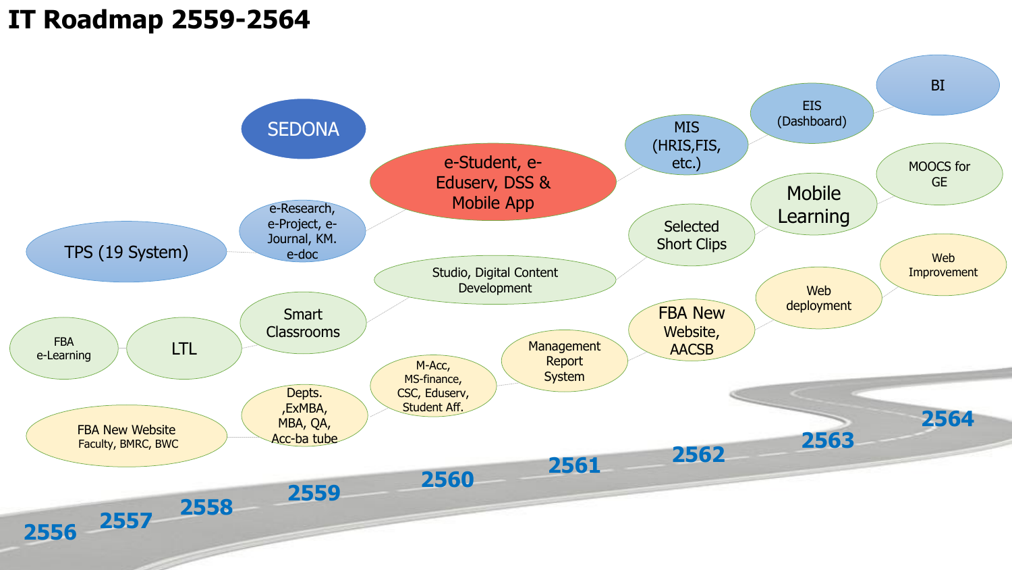## **IT Roadmap 2559 -2564**

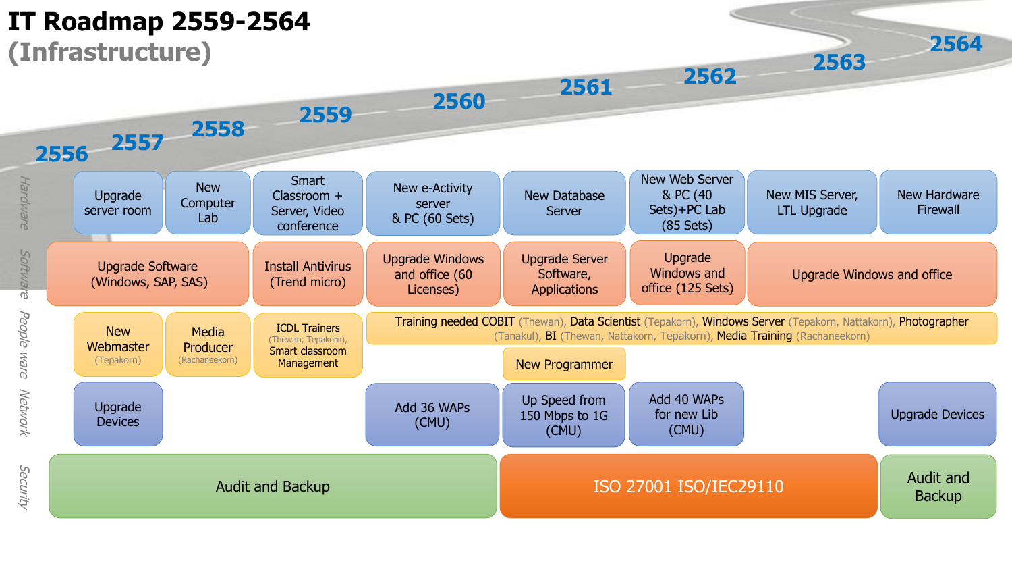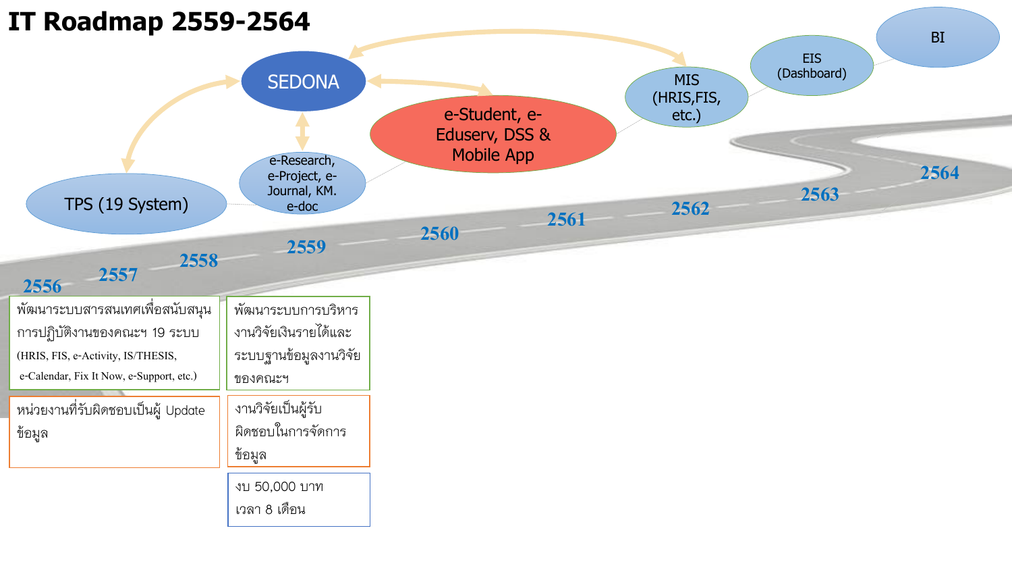